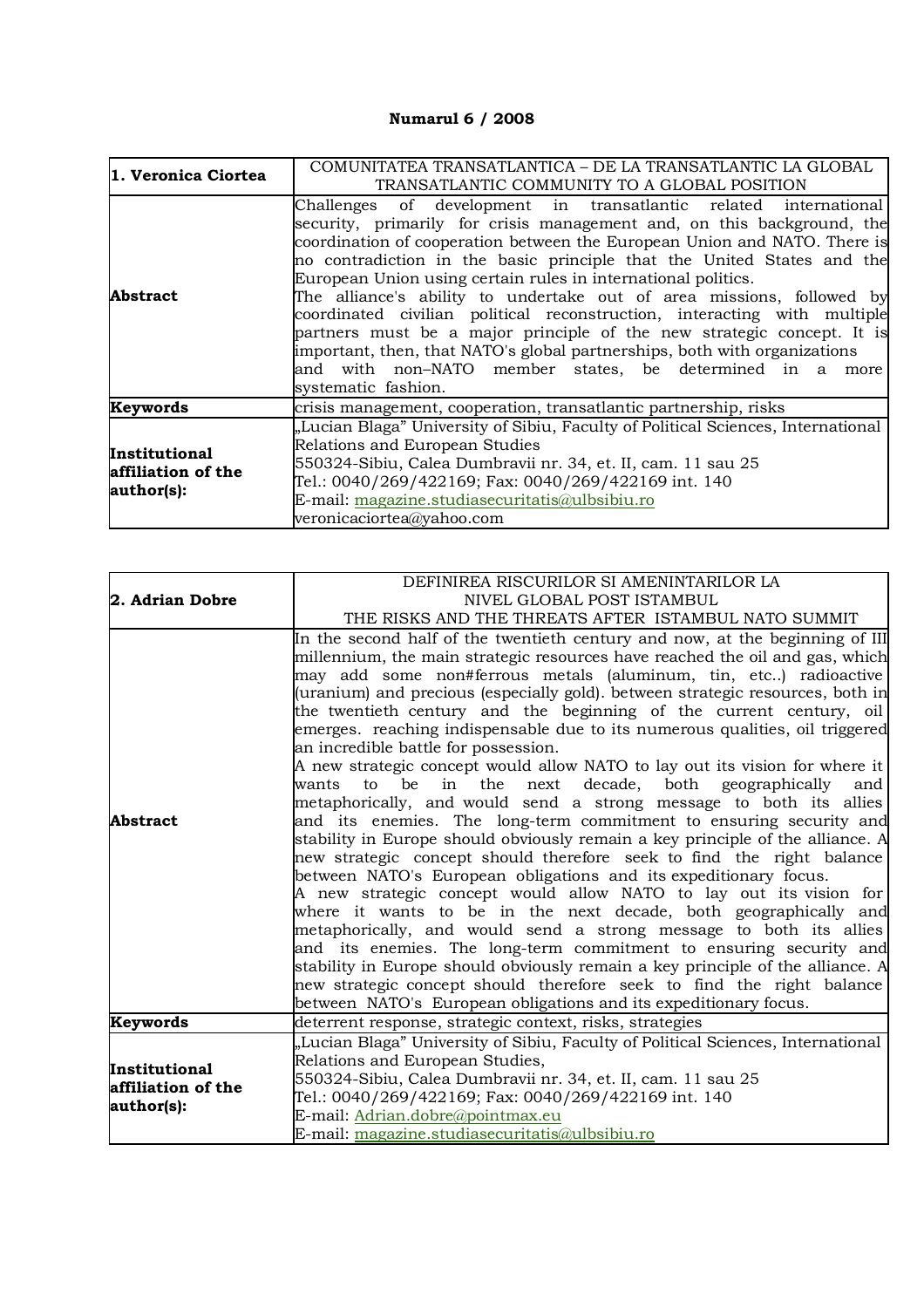## **Numarul 6 / 2008**

| 1. Veronica Ciortea                                      | COMUNITATEA TRANSATLANTICA – DE LA TRANSATLANTIC LA GLOBAL<br>TRANSATLANTIC COMMUNITY TO A GLOBAL POSITION                                                                                                                                                                                                                                                                                                                                                                                                                                                                                                                                                                                                                                                        |
|----------------------------------------------------------|-------------------------------------------------------------------------------------------------------------------------------------------------------------------------------------------------------------------------------------------------------------------------------------------------------------------------------------------------------------------------------------------------------------------------------------------------------------------------------------------------------------------------------------------------------------------------------------------------------------------------------------------------------------------------------------------------------------------------------------------------------------------|
| <b>Abstract</b>                                          | Challenges of development in transatlantic related international<br>security, primarily for crisis management and, on this background, the<br>coordination of cooperation between the European Union and NATO. There is<br>no contradiction in the basic principle that the United States and the<br>European Union using certain rules in international politics.<br>The alliance's ability to undertake out of area missions, followed by<br>coordinated civilian political reconstruction, interacting with multiple<br>partners must be a major principle of the new strategic concept. It is<br>important, then, that NATO's global partnerships, both with organizations<br>and with non-NATO member states, be determined in a more<br>systematic fashion. |
| Keywords                                                 | crisis management, cooperation, transatlantic partnership, risks                                                                                                                                                                                                                                                                                                                                                                                                                                                                                                                                                                                                                                                                                                  |
| <b>Institutional</b><br>affiliation of the<br>author(s): | "Lucian Blaga" University of Sibiu, Faculty of Political Sciences, International<br>Relations and European Studies<br>550324-Sibiu, Calea Dumbravii nr. 34, et. II, cam. 11 sau 25<br>Tel.: 0040/269/422169; Fax: 0040/269/422169 int. 140<br>E-mail: magazine.studiasecuritatis@ulbsibiu.ro<br>veronicaciortea@yahoo.com                                                                                                                                                                                                                                                                                                                                                                                                                                         |

|                                     | DEFINIREA RISCURILOR SI AMENINTARILOR LA                                         |
|-------------------------------------|----------------------------------------------------------------------------------|
| 2. Adrian Dobre                     | NIVEL GLOBAL POST ISTAMBUL                                                       |
|                                     | THE RISKS AND THE THREATS AFTER ISTAMBUL NATO SUMMIT                             |
|                                     | In the second half of the twentieth century and now, at the beginning of III     |
|                                     | millennium, the main strategic resources have reached the oil and gas, which     |
|                                     | may add some non#ferrous metals (aluminum, tin, etc) radioactive                 |
|                                     | (uranium) and precious (especially gold). between strategic resources, both in   |
|                                     | the twentieth century and the beginning of the current century, oil              |
|                                     | emerges. reaching indispensable due to its numerous qualities, oil triggered     |
|                                     | an incredible battle for possession.                                             |
|                                     | A new strategic concept would allow NATO to lay out its vision for where it      |
|                                     | next decade, both geographically<br>in the<br>be<br>wants<br>to<br>and           |
| <b>Abstract</b>                     | metaphorically, and would send a strong message to both its allies               |
|                                     | and its enemies. The long-term commitment to ensuring security and               |
|                                     | stability in Europe should obviously remain a key principle of the alliance. A   |
|                                     | new strategic concept should therefore seek to find the right balance            |
|                                     | between NATO's European obligations and its expeditionary focus.                 |
|                                     | A new strategic concept would allow NATO to lay out its vision for               |
|                                     | where it wants to be in the next decade, both geographically and                 |
|                                     | metaphorically, and would send a strong message to both its allies               |
|                                     | and its enemies. The long-term commitment to ensuring security and               |
|                                     | stability in Europe should obviously remain a key principle of the alliance. A   |
|                                     | new strategic concept should therefore seek to find the right balance            |
|                                     | between NATO's European obligations and its expeditionary focus.                 |
| Keywords                            | deterrent response, strategic context, risks, strategies                         |
|                                     | "Lucian Blaga" University of Sibiu, Faculty of Political Sciences, International |
| Institutional<br>affiliation of the | Relations and European Studies,                                                  |
|                                     | 550324-Sibiu, Calea Dumbravii nr. 34, et. II, cam. 11 sau 25                     |
| author(s):                          | Tel.: 0040/269/422169; Fax: 0040/269/422169 int. 140                             |
|                                     | E-mail: Adrian.dobre@pointmax.eu                                                 |
|                                     | E-mail: magazine.studiasecuritatis@ulbsibiu.ro                                   |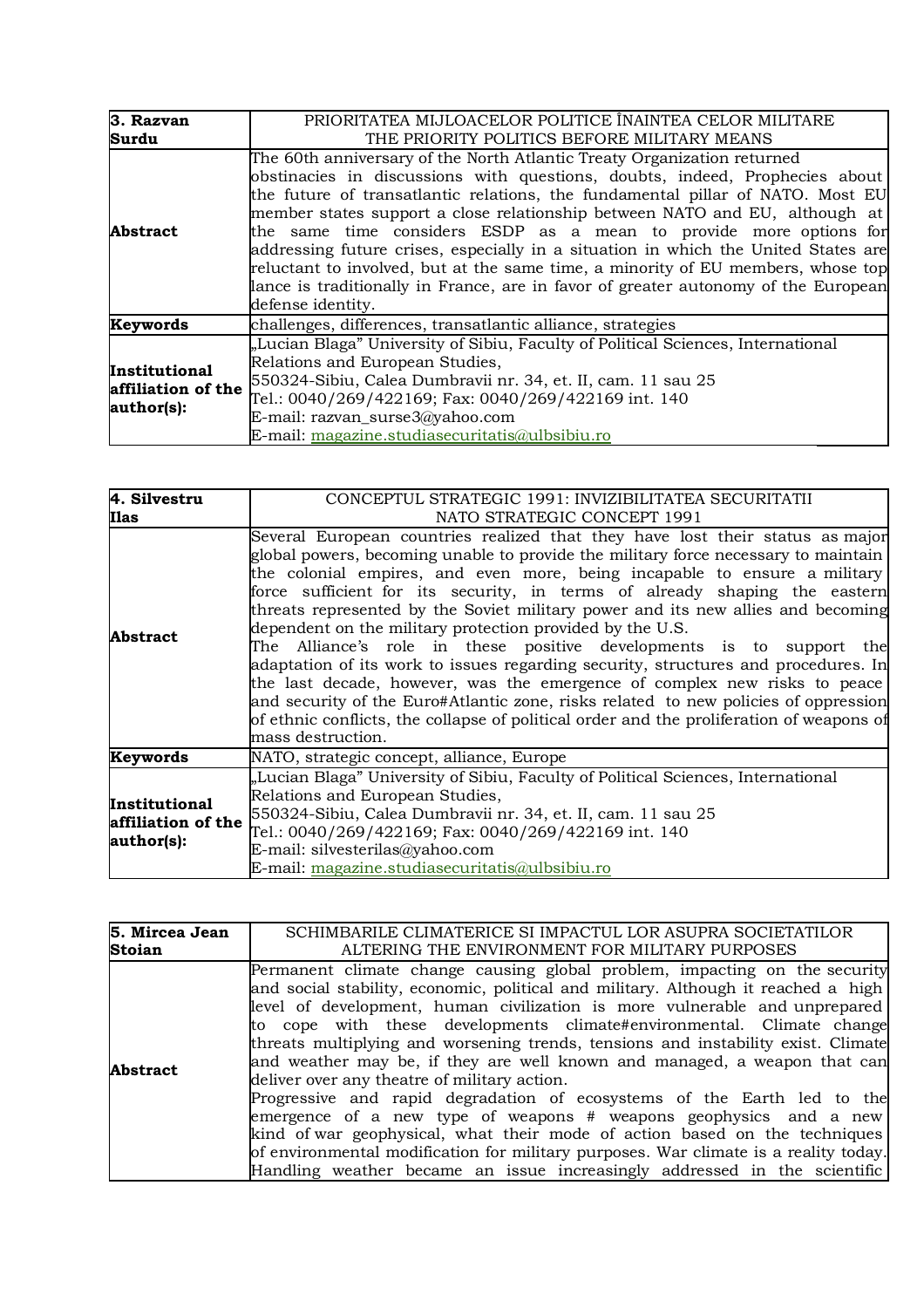| 3. Razvan                                                | PRIORITATEA MIJLOACELOR POLITICE ÎNAINTEA CELOR MILITARE                                                                                                                                                                                                                                                                                                                                                                                                                                                                                                                                                                                                                           |
|----------------------------------------------------------|------------------------------------------------------------------------------------------------------------------------------------------------------------------------------------------------------------------------------------------------------------------------------------------------------------------------------------------------------------------------------------------------------------------------------------------------------------------------------------------------------------------------------------------------------------------------------------------------------------------------------------------------------------------------------------|
| Surdu                                                    | THE PRIORITY POLITICS BEFORE MILITARY MEANS                                                                                                                                                                                                                                                                                                                                                                                                                                                                                                                                                                                                                                        |
| <b>Abstract</b>                                          | The 60th anniversary of the North Atlantic Treaty Organization returned<br>obstinacies in discussions with questions, doubts, indeed, Prophecies about<br>the future of transatlantic relations, the fundamental pillar of NATO. Most EU<br>member states support a close relationship between NATO and EU, although at<br>the same time considers ESDP as a mean to provide more options for<br>addressing future crises, especially in a situation in which the United States are<br>reluctant to involved, but at the same time, a minority of EU members, whose top<br>lance is traditionally in France, are in favor of greater autonomy of the European<br>defense identity. |
| Keywords                                                 | challenges, differences, transatlantic alliance, strategies                                                                                                                                                                                                                                                                                                                                                                                                                                                                                                                                                                                                                        |
| <b>Institutional</b><br>affiliation of the<br>author(s): | "Lucian Blaga" University of Sibiu, Faculty of Political Sciences, International<br>Relations and European Studies,<br>550324-Sibiu, Calea Dumbravii nr. 34, et. II, cam. 11 sau 25<br>Tel.: 0040/269/422169; Fax: 0040/269/422169 int. 140<br>E-mail: razvan_surse3@yahoo.com<br>E-mail: magazine.studiasecuritatis@ulbsibiu.ro                                                                                                                                                                                                                                                                                                                                                   |

| 4. Silvestru                                      | CONCEPTUL STRATEGIC 1991: INVIZIBILITATEA SECURITATII                                                                                                                                                                                                                                                                                                                                                                                                                                                                                                                                                                                                                                                                                                                                                                                                                                                                              |
|---------------------------------------------------|------------------------------------------------------------------------------------------------------------------------------------------------------------------------------------------------------------------------------------------------------------------------------------------------------------------------------------------------------------------------------------------------------------------------------------------------------------------------------------------------------------------------------------------------------------------------------------------------------------------------------------------------------------------------------------------------------------------------------------------------------------------------------------------------------------------------------------------------------------------------------------------------------------------------------------|
| Ilas                                              | NATO STRATEGIC CONCEPT 1991                                                                                                                                                                                                                                                                                                                                                                                                                                                                                                                                                                                                                                                                                                                                                                                                                                                                                                        |
| <b>Abstract</b>                                   | Several European countries realized that they have lost their status as major<br>global powers, becoming unable to provide the military force necessary to maintain<br>the colonial empires, and even more, being incapable to ensure a military<br>force sufficient for its security, in terms of already shaping the eastern<br>threats represented by the Soviet military power and its new allies and becoming<br>dependent on the military protection provided by the U.S.<br>The Alliance's role in these positive developments is to support the<br>adaptation of its work to issues regarding security, structures and procedures. In<br>the last decade, however, was the emergence of complex new risks to peace<br>and security of the Euro#Atlantic zone, risks related to new policies of oppression<br>of ethnic conflicts, the collapse of political order and the proliferation of weapons of<br>mass destruction. |
| Keywords                                          | NATO, strategic concept, alliance, Europe                                                                                                                                                                                                                                                                                                                                                                                                                                                                                                                                                                                                                                                                                                                                                                                                                                                                                          |
| Institutional<br>affiliation of the<br>author(s): | "Lucian Blaga" University of Sibiu, Faculty of Political Sciences, International<br>Relations and European Studies,<br>550324-Sibiu, Calea Dumbravii nr. 34, et. II, cam. 11 sau 25<br>Tel.: 0040/269/422169; Fax: 0040/269/422169 int. 140<br>E-mail: silvesterilas@yahoo.com<br>E-mail: magazine.studiasecuritatis@ulbsibiu.ro                                                                                                                                                                                                                                                                                                                                                                                                                                                                                                                                                                                                   |

| 5. Mircea Jean  | SCHIMBARILE CLIMATERICE SI IMPACTUL LOR ASUPRA SOCIETATILOR                                                                                                                                                                                                                                                                                                                                                                                                                                                                                                                                                                                                                                                                                                                                                                                                                                                                                    |
|-----------------|------------------------------------------------------------------------------------------------------------------------------------------------------------------------------------------------------------------------------------------------------------------------------------------------------------------------------------------------------------------------------------------------------------------------------------------------------------------------------------------------------------------------------------------------------------------------------------------------------------------------------------------------------------------------------------------------------------------------------------------------------------------------------------------------------------------------------------------------------------------------------------------------------------------------------------------------|
| <b>Stoian</b>   | ALTERING THE ENVIRONMENT FOR MILITARY PURPOSES                                                                                                                                                                                                                                                                                                                                                                                                                                                                                                                                                                                                                                                                                                                                                                                                                                                                                                 |
| <b>Abstract</b> | Permanent climate change causing global problem, impacting on the security<br>and social stability, economic, political and military. Although it reached a high<br>level of development, human civilization is more vulnerable and unprepared<br>to cope with these developments climate#environmental. Climate change<br>threats multiplying and worsening trends, tensions and instability exist. Climate<br>and weather may be, if they are well known and managed, a weapon that can<br>deliver over any theatre of military action.<br>Progressive and rapid degradation of ecosystems of the Earth led to the<br>emergence of a new type of weapons $#$ weapons geophysics and a new<br>kind of war geophysical, what their mode of action based on the techniques<br>of environmental modification for military purposes. War climate is a reality today.<br>Handling weather became an issue increasingly addressed in the scientific |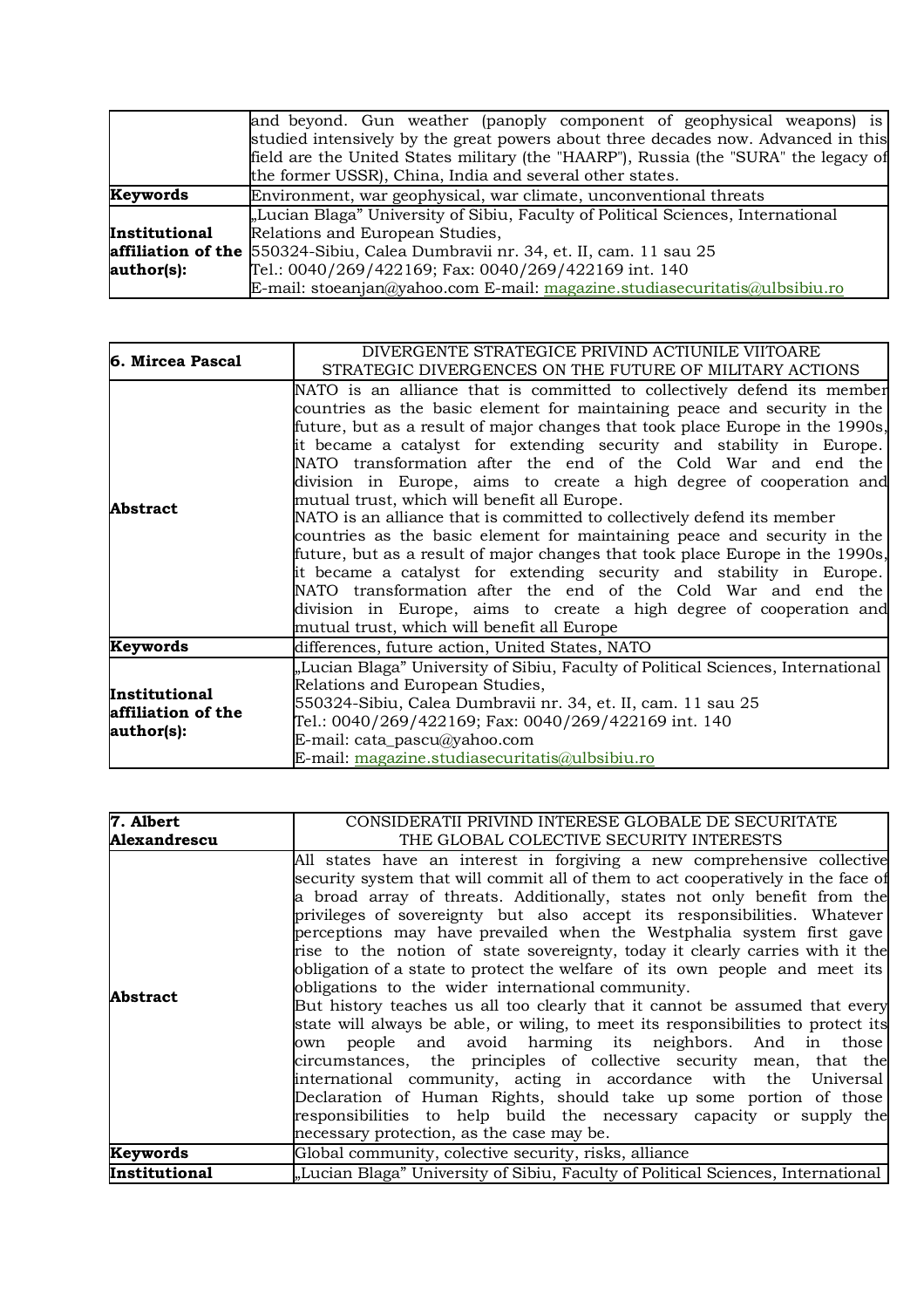|                 | and beyond. Gun weather (panoply component of geophysical weapons) is                  |  |  |
|-----------------|----------------------------------------------------------------------------------------|--|--|
|                 | studied intensively by the great powers about three decades now. Advanced in this      |  |  |
|                 | field are the United States military (the "HAARP"), Russia (the "SURA" the legacy of   |  |  |
|                 | the former USSR), China, India and several other states.                               |  |  |
| <b>Keywords</b> | Environment, war geophysical, war climate, unconventional threats                      |  |  |
|                 | "Lucian Blaga" University of Sibiu, Faculty of Political Sciences, International       |  |  |
| Institutional   | Relations and European Studies,                                                        |  |  |
|                 | <b>affiliation of the</b> 550324-Sibiu, Calea Dumbravii nr. 34, et. II, cam. 11 sau 25 |  |  |
| author(s):      | Tel.: 0040/269/422169; Fax: 0040/269/422169 int. 140                                   |  |  |
|                 | E-mail: stoeanjan@yahoo.com E-mail: magazine.studiasecuritatis@ulbsibiu.ro             |  |  |

| 6. Mircea Pascal                                  | DIVERGENTE STRATEGICE PRIVIND ACTIUNILE VIITOARE                                                                                                                                                                                                                                                                                                                                                                                                                                                                                                                                                                                                                                                                                                                                                                                                                                                                                                                                                            |
|---------------------------------------------------|-------------------------------------------------------------------------------------------------------------------------------------------------------------------------------------------------------------------------------------------------------------------------------------------------------------------------------------------------------------------------------------------------------------------------------------------------------------------------------------------------------------------------------------------------------------------------------------------------------------------------------------------------------------------------------------------------------------------------------------------------------------------------------------------------------------------------------------------------------------------------------------------------------------------------------------------------------------------------------------------------------------|
|                                                   | STRATEGIC DIVERGENCES ON THE FUTURE OF MILITARY ACTIONS                                                                                                                                                                                                                                                                                                                                                                                                                                                                                                                                                                                                                                                                                                                                                                                                                                                                                                                                                     |
| <b>Abstract</b>                                   | NATO is an alliance that is committed to collectively defend its member<br>countries as the basic element for maintaining peace and security in the<br>future, but as a result of major changes that took place Europe in the 1990s,<br>it became a catalyst for extending security and stability in Europe.<br>NATO transformation after the end of the Cold War and end the<br>division in Europe, aims to create a high degree of cooperation and<br>mutual trust, which will benefit all Europe.<br>NATO is an alliance that is committed to collectively defend its member<br>countries as the basic element for maintaining peace and security in the<br>future, but as a result of major changes that took place Europe in the 1990s,<br>it became a catalyst for extending security and stability in Europe.<br>NATO transformation after the end of the Cold War and end the<br>division in Europe, aims to create a high degree of cooperation and<br>mutual trust, which will benefit all Europe |
| Keywords                                          | differences, future action, United States, NATO                                                                                                                                                                                                                                                                                                                                                                                                                                                                                                                                                                                                                                                                                                                                                                                                                                                                                                                                                             |
| Institutional<br>affiliation of the<br>author(s): | "Lucian Blaga" University of Sibiu, Faculty of Political Sciences, International<br>Relations and European Studies,<br>550324-Sibiu, Calea Dumbravii nr. 34, et. II, cam. 11 sau 25<br>Tel.: 0040/269/422169; Fax: 0040/269/422169 int. 140<br>E-mail: cata_pascu@yahoo.com<br>E-mail: magazine.studiasecuritatis@ulbsibiu.ro                                                                                                                                                                                                                                                                                                                                                                                                                                                                                                                                                                                                                                                                               |

| 7. Albert     | CONSIDERATII PRIVIND INTERESE GLOBALE DE SECURITATE                                                                                                                                                                                                                                                                                                                                                                                                                                                                                                                                                                                                                                                                                                                                                                                                                                                                                                                                                                                                                                                                                                                                  |
|---------------|--------------------------------------------------------------------------------------------------------------------------------------------------------------------------------------------------------------------------------------------------------------------------------------------------------------------------------------------------------------------------------------------------------------------------------------------------------------------------------------------------------------------------------------------------------------------------------------------------------------------------------------------------------------------------------------------------------------------------------------------------------------------------------------------------------------------------------------------------------------------------------------------------------------------------------------------------------------------------------------------------------------------------------------------------------------------------------------------------------------------------------------------------------------------------------------|
| Alexandrescu  | THE GLOBAL COLECTIVE SECURITY INTERESTS                                                                                                                                                                                                                                                                                                                                                                                                                                                                                                                                                                                                                                                                                                                                                                                                                                                                                                                                                                                                                                                                                                                                              |
| Abstract      | All states have an interest in forgiving a new comprehensive collective<br>security system that will commit all of them to act cooperatively in the face of<br>a broad array of threats. Additionally, states not only benefit from the<br>privileges of sovereignty but also accept its responsibilities. Whatever<br>perceptions may have prevailed when the Westphalia system first gave<br>rise to the notion of state sovereignty, today it clearly carries with it the<br>obligation of a state to protect the welfare of its own people and meet its<br>obligations to the wider international community.<br>But history teaches us all too clearly that it cannot be assumed that every<br>state will always be able, or wiling, to meet its responsibilities to protect its<br>own people and avoid harming its neighbors. And in those<br>circumstances, the principles of collective security mean, that the<br>international community, acting in accordance with the Universal<br>Declaration of Human Rights, should take up some portion of those<br>responsibilities to help build the necessary capacity or supply the<br>necessary protection, as the case may be. |
| Keywords      | Global community, colective security, risks, alliance                                                                                                                                                                                                                                                                                                                                                                                                                                                                                                                                                                                                                                                                                                                                                                                                                                                                                                                                                                                                                                                                                                                                |
| Institutional | "Lucian Blaga" University of Sibiu, Faculty of Political Sciences, International                                                                                                                                                                                                                                                                                                                                                                                                                                                                                                                                                                                                                                                                                                                                                                                                                                                                                                                                                                                                                                                                                                     |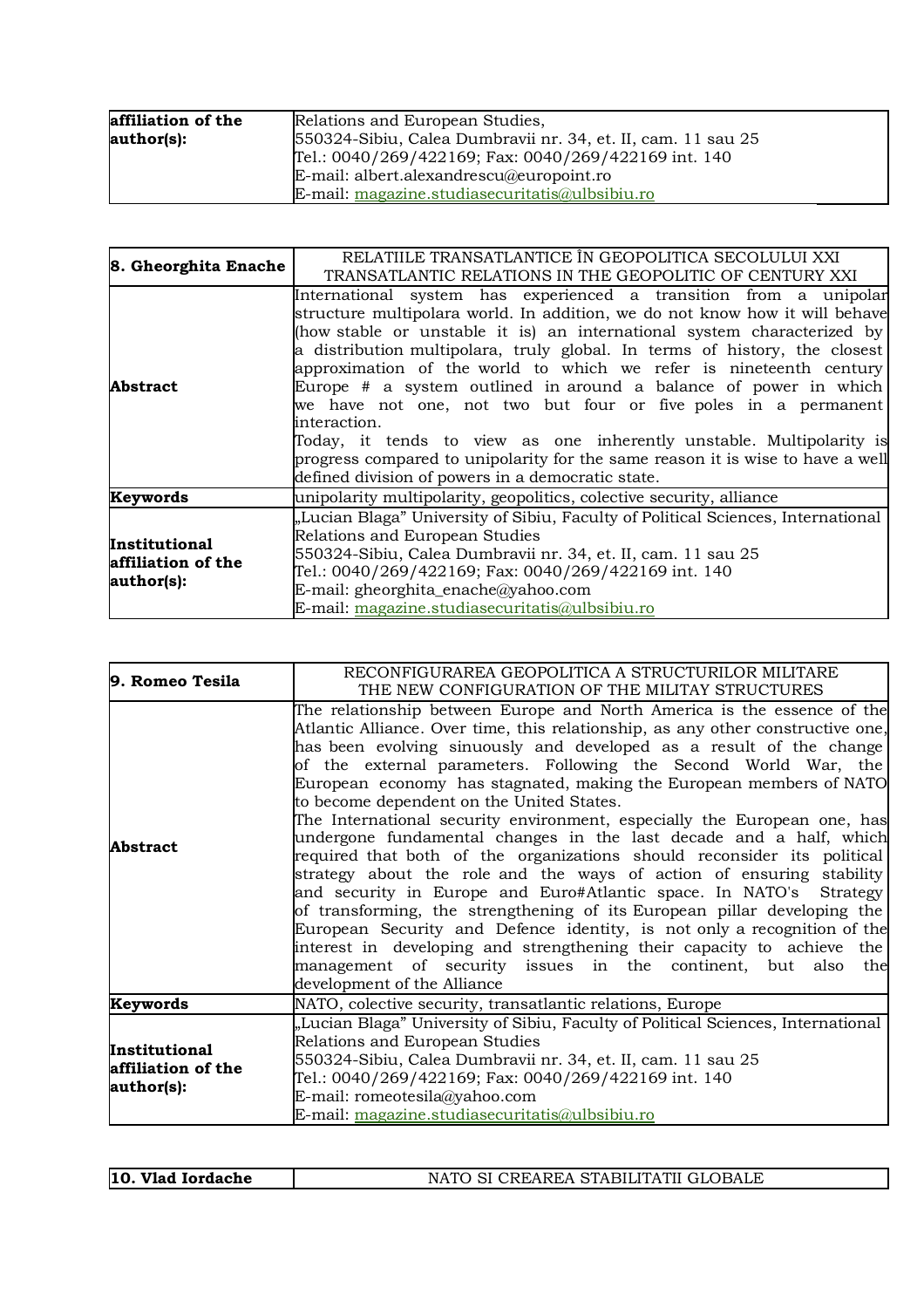| affiliation of the | Relations and European Studies,                              |
|--------------------|--------------------------------------------------------------|
| author(s):         | 550324-Sibiu, Calea Dumbravii nr. 34, et. II, cam. 11 sau 25 |
|                    | Tel.: 0040/269/422169; Fax: 0040/269/422169 int. 140         |
|                    | E-mail: albert.alexandrescu@europoint.ro                     |
|                    | E-mail: magazine.studiasecuritatis@ulbsibiu.ro               |

| 8. Gheorghita Enache                                     | RELATIILE TRANSATLANTICE ÎN GEOPOLITICA SECOLULUI XXI<br>TRANSATLANTIC RELATIONS IN THE GEOPOLITIC OF CENTURY XXI                                                                                                                                                                                                                                                                                                                                                                                                                                                                                                                                                                                                                                      |
|----------------------------------------------------------|--------------------------------------------------------------------------------------------------------------------------------------------------------------------------------------------------------------------------------------------------------------------------------------------------------------------------------------------------------------------------------------------------------------------------------------------------------------------------------------------------------------------------------------------------------------------------------------------------------------------------------------------------------------------------------------------------------------------------------------------------------|
| <b>Abstract</b>                                          | International system has experienced a transition from a unipolar<br>structure multipolara world. In addition, we do not know how it will behave<br>(how stable or unstable it is) an international system characterized by<br>a distribution multipolara, truly global. In terms of history, the closest<br>approximation of the world to which we refer is nineteenth century<br>Europe $#$ a system outlined in around a balance of power in which<br>we have not one, not two but four or five poles in a permanent<br>interaction.<br>Today, it tends to view as one inherently unstable. Multipolarity is<br>progress compared to unipolarity for the same reason it is wise to have a well<br>defined division of powers in a democratic state. |
| Keywords                                                 | unipolarity multipolarity, geopolitics, colective security, alliance                                                                                                                                                                                                                                                                                                                                                                                                                                                                                                                                                                                                                                                                                   |
| <b>Institutional</b><br>affiliation of the<br>author(s): | "Lucian Blaga" University of Sibiu, Faculty of Political Sciences, International<br>Relations and European Studies<br>550324-Sibiu, Calea Dumbravii nr. 34, et. II, cam. 11 sau 25<br>Tel.: 0040/269/422169; Fax: 0040/269/422169 int. 140<br>E-mail: gheorghita_enache@yahoo.com<br>E-mail: magazine.studiasecuritatis@ulbsibiu.ro                                                                                                                                                                                                                                                                                                                                                                                                                    |

| 9. Romeo Tesila                                   | RECONFIGURAREA GEOPOLITICA A STRUCTURILOR MILITARE                                                                                                                                                                                                                                                                                                                                                                                                                                                                                                                                                                                                                                                                                                                                                                                                                                                                                                                                                                                                                                                                                      |
|---------------------------------------------------|-----------------------------------------------------------------------------------------------------------------------------------------------------------------------------------------------------------------------------------------------------------------------------------------------------------------------------------------------------------------------------------------------------------------------------------------------------------------------------------------------------------------------------------------------------------------------------------------------------------------------------------------------------------------------------------------------------------------------------------------------------------------------------------------------------------------------------------------------------------------------------------------------------------------------------------------------------------------------------------------------------------------------------------------------------------------------------------------------------------------------------------------|
|                                                   | THE NEW CONFIGURATION OF THE MILITAY STRUCTURES                                                                                                                                                                                                                                                                                                                                                                                                                                                                                                                                                                                                                                                                                                                                                                                                                                                                                                                                                                                                                                                                                         |
| Abstract                                          | The relationship between Europe and North America is the essence of the<br>Atlantic Alliance. Over time, this relationship, as any other constructive one,<br>has been evolving sinuously and developed as a result of the change<br>of the external parameters. Following the Second World War, the<br>European economy has stagnated, making the European members of NATO<br>to become dependent on the United States.<br>The International security environment, especially the European one, has<br>undergone fundamental changes in the last decade and a half, which<br>required that both of the organizations should reconsider its political<br>strategy about the role and the ways of action of ensuring stability<br>and security in Europe and Euro#Atlantic space. In NATO's Strategy<br>of transforming, the strengthening of its European pillar developing the<br>European Security and Defence identity, is not only a recognition of the<br>interest in developing and strengthening their capacity to achieve the<br>management of security issues in the continent, but also<br>the<br>development of the Alliance |
| Keywords                                          | NATO, colective security, transatlantic relations, Europe                                                                                                                                                                                                                                                                                                                                                                                                                                                                                                                                                                                                                                                                                                                                                                                                                                                                                                                                                                                                                                                                               |
| Institutional<br>affiliation of the<br>author(s): | "Lucian Blaga" University of Sibiu, Faculty of Political Sciences, International<br>Relations and European Studies<br>550324-Sibiu, Calea Dumbravii nr. 34, et. II, cam. 11 sau 25<br>Tel.: 0040/269/422169; Fax: 0040/269/422169 int. 140<br>E-mail: romeotesila@yahoo.com<br>E-mail: magazine.studiasecuritatis@ulbsibiu.ro                                                                                                                                                                                                                                                                                                                                                                                                                                                                                                                                                                                                                                                                                                                                                                                                           |

| 10.<br>Vlad Iordache | I CREAREA STABILITATII GLOBALE |
|----------------------|--------------------------------|
|                      |                                |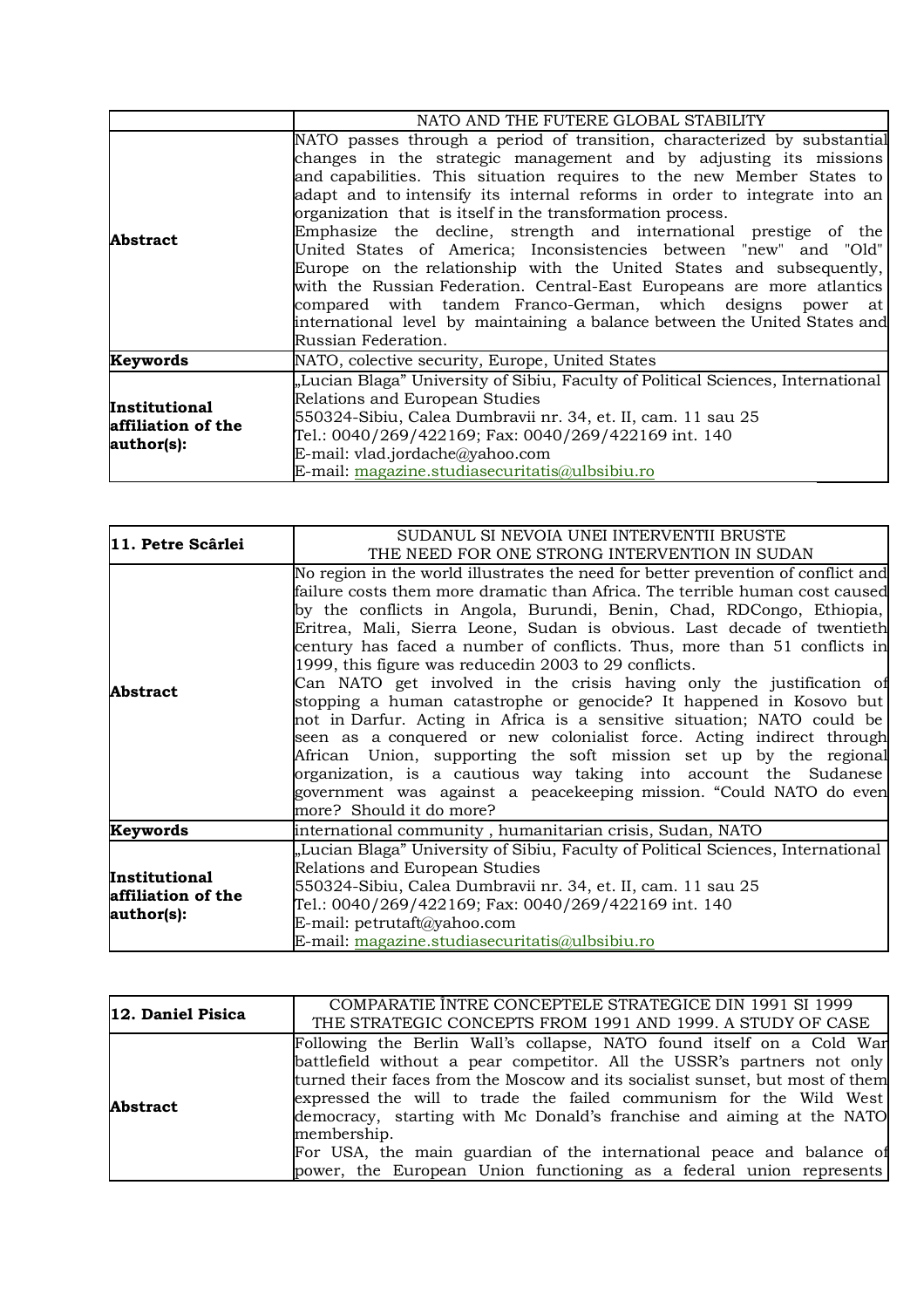|                                                   | NATO AND THE FUTERE GLOBAL STABILITY                                             |
|---------------------------------------------------|----------------------------------------------------------------------------------|
| Abstract                                          | NATO passes through a period of transition, characterized by substantial         |
|                                                   | changes in the strategic management and by adjusting its missions                |
|                                                   | and capabilities. This situation requires to the new Member States to            |
|                                                   | adapt and to intensify its internal reforms in order to integrate into an        |
|                                                   | organization that is itself in the transformation process.                       |
|                                                   | Emphasize the decline, strength and international prestige of the                |
|                                                   | United States of America; Inconsistencies between "new" and "Old"                |
|                                                   | Europe on the relationship with the United States and subsequently,              |
|                                                   | with the Russian Federation. Central-East Europeans are more atlantics           |
|                                                   | compared with tandem Franco-German, which designs power at                       |
|                                                   | international level by maintaining a balance between the United States and       |
|                                                   | Russian Federation.                                                              |
| Keywords                                          | NATO, colective security, Europe, United States                                  |
| Institutional<br>affiliation of the<br>author(s): | "Lucian Blaga" University of Sibiu, Faculty of Political Sciences, International |
|                                                   | Relations and European Studies                                                   |
|                                                   | 550324-Sibiu, Calea Dumbravii nr. 34, et. II, cam. 11 sau 25                     |
|                                                   | Tel.: 0040/269/422169; Fax: 0040/269/422169 int. 140                             |
|                                                   | E-mail: vlad.jordache@yahoo.com                                                  |
|                                                   | E-mail: magazine.studiasecuritatis@ulbsibiu.ro                                   |

| 11. Petre Scârlei                                 | SUDANUL SI NEVOIA UNEI INTERVENTII BRUSTE                                                                                                                                                                                                                                                                                                                                                                                                                                                                                                                                                                                                                                                                                                                                                                                                                                                                                                                                                               |
|---------------------------------------------------|---------------------------------------------------------------------------------------------------------------------------------------------------------------------------------------------------------------------------------------------------------------------------------------------------------------------------------------------------------------------------------------------------------------------------------------------------------------------------------------------------------------------------------------------------------------------------------------------------------------------------------------------------------------------------------------------------------------------------------------------------------------------------------------------------------------------------------------------------------------------------------------------------------------------------------------------------------------------------------------------------------|
|                                                   | THE NEED FOR ONE STRONG INTERVENTION IN SUDAN                                                                                                                                                                                                                                                                                                                                                                                                                                                                                                                                                                                                                                                                                                                                                                                                                                                                                                                                                           |
| <b>Abstract</b>                                   | No region in the world illustrates the need for better prevention of conflict and<br>failure costs them more dramatic than Africa. The terrible human cost caused<br>by the conflicts in Angola, Burundi, Benin, Chad, RDCongo, Ethiopia,<br>Eritrea, Mali, Sierra Leone, Sudan is obvious. Last decade of twentieth<br>century has faced a number of conflicts. Thus, more than 51 conflicts in<br>1999, this figure was reducedin 2003 to 29 conflicts.<br>Can NATO get involved in the crisis having only the justification of<br>stopping a human catastrophe or genocide? It happened in Kosovo but<br>not in Darfur. Acting in Africa is a sensitive situation; NATO could be<br>seen as a conquered or new colonialist force. Acting indirect through<br>African Union, supporting the soft mission set up by the regional<br>organization, is a cautious way taking into account the Sudanese<br>government was against a peacekeeping mission. "Could NATO do even<br>more? Should it do more? |
| Keywords                                          | international community, humanitarian crisis, Sudan, NATO                                                                                                                                                                                                                                                                                                                                                                                                                                                                                                                                                                                                                                                                                                                                                                                                                                                                                                                                               |
| Institutional<br>affiliation of the<br>author(s): | "Lucian Blaga" University of Sibiu, Faculty of Political Sciences, International<br>Relations and European Studies<br>550324-Sibiu, Calea Dumbravii nr. 34, et. II, cam. 11 sau 25<br>Tel.: 0040/269/422169; Fax: 0040/269/422169 int. 140<br>E-mail: petrutaft@yahoo.com<br>E-mail: magazine.studiasecuritatis@ulbsibiu.ro                                                                                                                                                                                                                                                                                                                                                                                                                                                                                                                                                                                                                                                                             |

| 12. Daniel Pisica | COMPARATIE ÎNTRE CONCEPTELE STRATEGICE DIN 1991 SI 1999<br>THE STRATEGIC CONCEPTS FROM 1991 AND 1999. A STUDY OF CASE                                                                                                                                                                                                                                                                                                                                                                                                                          |
|-------------------|------------------------------------------------------------------------------------------------------------------------------------------------------------------------------------------------------------------------------------------------------------------------------------------------------------------------------------------------------------------------------------------------------------------------------------------------------------------------------------------------------------------------------------------------|
| <b>Abstract</b>   | Following the Berlin Wall's collapse, NATO found itself on a Cold War<br>battlefield without a pear competitor. All the USSR's partners not only<br>turned their faces from the Moscow and its socialist sunset, but most of them<br>expressed the will to trade the failed communism for the Wild West<br>democracy, starting with Mc Donald's franchise and aiming at the NATO<br>membership.<br>For USA, the main guardian of the international peace and balance of<br>power, the European Union functioning as a federal union represents |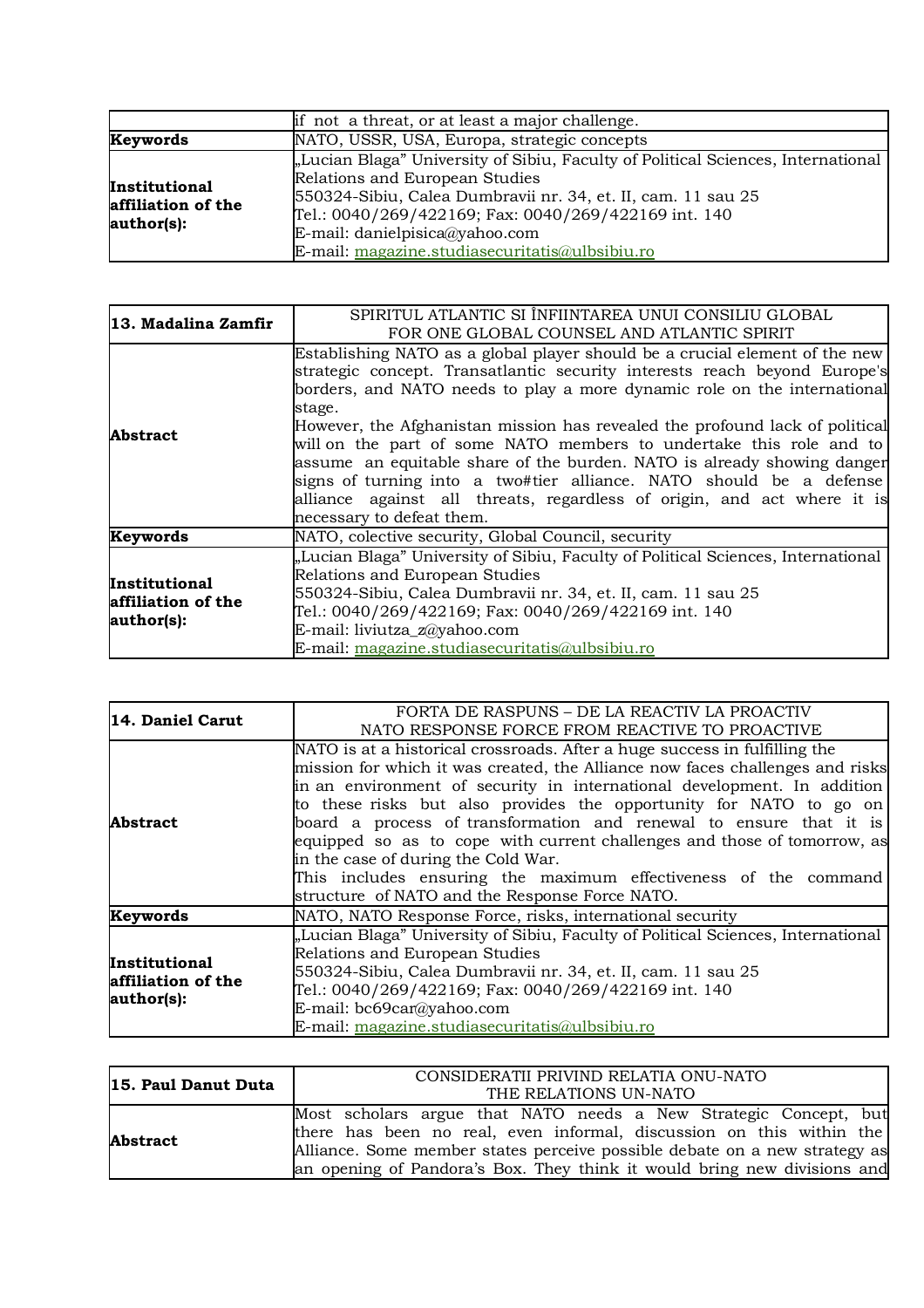|                                                   | if not a threat, or at least a major challenge.                                                                                                                                                                                                                                                                                |
|---------------------------------------------------|--------------------------------------------------------------------------------------------------------------------------------------------------------------------------------------------------------------------------------------------------------------------------------------------------------------------------------|
| Keywords                                          | NATO, USSR, USA, Europa, strategic concepts                                                                                                                                                                                                                                                                                    |
| Institutional<br>affiliation of the<br>author(s): | "Lucian Blaga" University of Sibiu, Faculty of Political Sciences, International<br>Relations and European Studies<br>550324-Sibiu, Calea Dumbravii nr. 34, et. II, cam. 11 sau 25<br>Tel.: 0040/269/422169; Fax: 0040/269/422169 int. 140<br>E-mail: danielpisica@yahoo.com<br>E-mail: magazine.studiasecuritatis@ulbsibiu.ro |

| 13. Madalina Zamfir                               | SPIRITUL ATLANTIC SI ÎNFIINTAREA UNUI CONSILIU GLOBAL                            |
|---------------------------------------------------|----------------------------------------------------------------------------------|
|                                                   | FOR ONE GLOBAL COUNSEL AND ATLANTIC SPIRIT                                       |
| <b>Abstract</b>                                   | Establishing NATO as a global player should be a crucial element of the new      |
|                                                   | strategic concept. Transatlantic security interests reach beyond Europe's        |
|                                                   | borders, and NATO needs to play a more dynamic role on the international         |
|                                                   | stage.                                                                           |
|                                                   | However, the Afghanistan mission has revealed the profound lack of political     |
|                                                   | will on the part of some NATO members to undertake this role and to              |
|                                                   | assume an equitable share of the burden. NATO is already showing danger          |
|                                                   | signs of turning into a two#tier alliance. NATO should be a defense              |
|                                                   | alliance against all threats, regardless of origin, and act where it is          |
|                                                   | necessary to defeat them.                                                        |
| Keywords                                          | NATO, colective security, Global Council, security                               |
| Institutional<br>affiliation of the<br>author(s): | "Lucian Blaga" University of Sibiu, Faculty of Political Sciences, International |
|                                                   | Relations and European Studies                                                   |
|                                                   | 550324-Sibiu, Calea Dumbravii nr. 34, et. II, cam. 11 sau 25                     |
|                                                   | Tel.: 0040/269/422169; Fax: 0040/269/422169 int. 140                             |
|                                                   | E-mail: liviutza_z@yahoo.com                                                     |
|                                                   | E-mail: magazine.studiasecuritatis@ulbsibiu.ro                                   |

| 14. Daniel Carut                                  | FORTA DE RASPUNS – DE LA REACTIV LA PROACTIV<br>NATO RESPONSE FORCE FROM REACTIVE TO PROACTIVE                                                                                                                                                                                                                                                                                                                                                                                                                                                                                                                             |
|---------------------------------------------------|----------------------------------------------------------------------------------------------------------------------------------------------------------------------------------------------------------------------------------------------------------------------------------------------------------------------------------------------------------------------------------------------------------------------------------------------------------------------------------------------------------------------------------------------------------------------------------------------------------------------------|
| <b>Abstract</b>                                   | NATO is at a historical crossroads. After a huge success in fulfilling the<br>mission for which it was created, the Alliance now faces challenges and risks<br>in an environment of security in international development. In addition<br>to these risks but also provides the opportunity for NATO to go on<br>board a process of transformation and renewal to ensure that it is<br>equipped so as to cope with current challenges and those of tomorrow, as<br>in the case of during the Cold War.<br>This includes ensuring the maximum effectiveness of the command<br>structure of NATO and the Response Force NATO. |
| Keywords                                          | NATO, NATO Response Force, risks, international security                                                                                                                                                                                                                                                                                                                                                                                                                                                                                                                                                                   |
| Institutional<br>affiliation of the<br>author(s): | "Lucian Blaga" University of Sibiu, Faculty of Political Sciences, International<br>Relations and European Studies<br>550324-Sibiu, Calea Dumbravii nr. 34, et. II, cam. 11 sau 25<br>Tel.: 0040/269/422169; Fax: 0040/269/422169 int. 140<br>E-mail: bc69car@yahoo.com<br>E-mail: magazine.studiasecuritatis@ulbsibiu.ro                                                                                                                                                                                                                                                                                                  |

| 15. Paul Danut Duta | CONSIDERATII PRIVIND RELATIA ONU-NATO                                      |
|---------------------|----------------------------------------------------------------------------|
|                     | THE RELATIONS UN-NATO                                                      |
| <b>Abstract</b>     | Most scholars argue that NATO needs a New Strategic Concept, but           |
|                     | there has been no real, even informal, discussion on this within the       |
|                     | Alliance. Some member states perceive possible debate on a new strategy as |
|                     | an opening of Pandora's Box. They think it would bring new divisions and   |